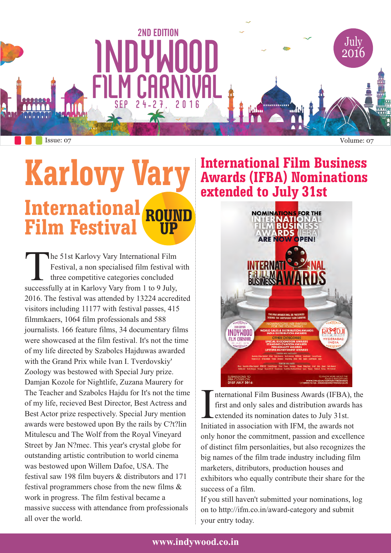

### **ROUND UP Karlovy Vary International Film Festival**

he 51st Karlovy Vary International Film<br>Festival, a non specialised film festival with three competitive categories concluded successfully at in Karlovy Vary from 1 to 9 July, 2016. The festival was attended by 13224 accredited visitors including 11177 with festival passes, 415 filmmkaers, 1064 film professionals and 588 journalists. 166 feature films, 34 documentary films were showcased at the film festival. It's not the time of my life directed by Szabolcs Hajduwas awarded with the Grand Prix while Ivan I. Tverdovskiy' Zoology was bestowed with Special Jury prize. Damjan Kozole for Nightlife, Zuzana Maurery for The Teacher and Szabolcs Hajdu for It's not the time of my life, recieved Best Director, Best Actress and Best Actor prize respectively. Special Jury mention awards were bestowed upon By the rails by C?t?lin Mitulescu and The Wolf from the Royal Vineyard Street by Jan N?mec. This year's crystal globe for outstanding artistic contribution to world cinema was bestowed upon Willem Dafoe, USA. The festival saw 198 film buyers & distributors and 171 festival programmers chose from the new films & work in progress. The film festival became a massive success with attendance from professionals all over the world.

#### **International Film Business Awards (IFBA) Nominations extended to July 31st**



nternational Film Business Awards (IFBA), the first and only sales and distribution awards has extended its nomination dates to July 31st. Initiated in association with IFM, the awards not only honor the commitment, passion and excellence of distinct film personlaities, but also recognizes the big names of the film trade industry including film marketers, ditributors, production houses and exhibitors who equally contribute their share for the success of a film.

If you still haven't submitted your nominations, log on to http://ifm.co.in/award-category and submit your entry today.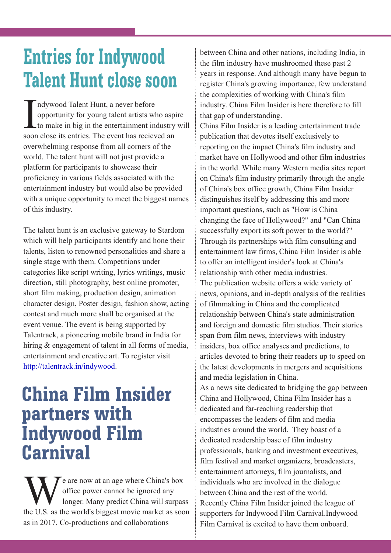# **Entries for Indywood Talent Hunt close soon**

ndywood Talent Hunt, a never before opportunity for young talent artists who aspire<br>to make in big in the entertainment industry will soon close its entries. The event has recieved an overwhelming response from all corners of the world. The talent hunt will not just provide a platform for participants to showcase their proficiency in various fields associated with the entertainment industry but would also be provided with a unique opportunity to meet the biggest names of this industry.

The talent hunt is an exclusive gateway to Stardom which will help participants identify and hone their talents, listen to renowned personalities and share a single stage with them. Competitions under categories like script writing, lyrics writings, music direction, still photography, best online promoter, short film making, production design, animation character design, Poster design, fashion show, acting contest and much more shall be organised at the event venue. The event is being supported by Talentrack, a pioneering mobile brand in India for hiring & engagement of talent in all forms of media, entertainment and creative art. To register visit http://talentrack.in/indywood.

# **China Film Insider partners with Indywood Film Carnival**

e are now at an age where China's box<br>
office power cannot be ignored any<br>
longer. Many predict China will surpas<br>
the U.S. as the world's biggest movie market as soo longer. Many predict China will surpass the U.S. as the world's biggest movie market as soon as in 2017. Co-productions and collaborations

between China and other nations, including India, in the film industry have mushroomed these past 2 years in response. And although many have begun to register China's growing importance, few understand the complexities of working with China's film industry. China Film Insider is here therefore to fill that gap of understanding. China Film Insider is a leading entertainment trade publication that devotes itself exclusively to reporting on the impact China's film industry and market have on Hollywood and other film industries in the world. While many Western media sites report on China's film industry primarily through the angle of China's box office growth, China Film Insider distinguishes itself by addressing this and more important questions, such as "How is China changing the face of Hollywood?" and "Can China successfully export its soft power to the world?" Through its partnerships with film consulting and entertainment law firms, China Film Insider is able to offer an intelligent insider's look at China's relationship with other media industries. The publication website offers a wide variety of news, opinions, and in-depth analysis of the realities of filmmaking in China and the complicated relationship between China's state administration and foreign and domestic film studios. Their stories span from film news, interviews with industry insiders, box office analyses and predictions, to articles devoted to bring their readers up to speed on the latest developments in mergers and acquisitions and media legislation in China.

As a news site dedicated to bridging the gap between China and Hollywood, China Film Insider has a dedicated and far-reaching readership that encompasses the leaders of film and media industries around the world. They boast of a dedicated readership base of film industry professionals, banking and investment executives, film festival and market organizers, broadcasters, entertainment attorneys, film journalists, and individuals who are involved in the dialogue between China and the rest of the world. Recently China Film Insider joined the league of supporters for Indywood Film Carnival.Indywood Film Carnival is excited to have them onboard.